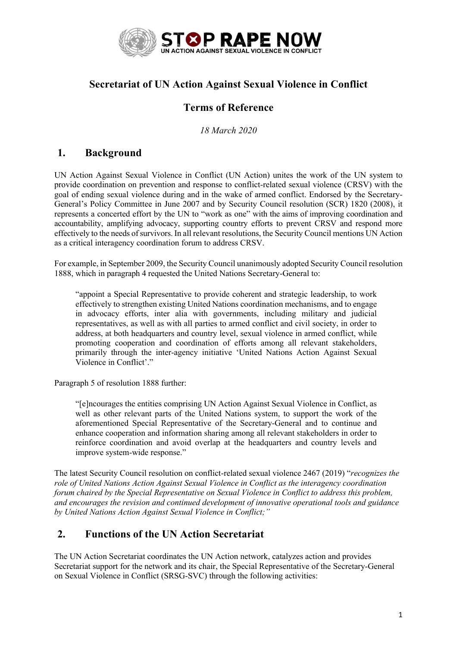

## **Secretariat of UN Action Against Sexual Violence in Conflict**

# **Terms of Reference**

*18 March 2020*

### **1. Background**

UN Action Against Sexual Violence in Conflict (UN Action) unites the work of the UN system to provide coordination on prevention and response to conflict-related sexual violence (CRSV) with the goal of ending sexual violence during and in the wake of armed conflict. Endorsed by the Secretary-General's Policy Committee in June 2007 and by Security Council resolution (SCR) 1820 (2008), it represents a concerted effort by the UN to "work as one" with the aims of improving coordination and accountability, amplifying advocacy, supporting country efforts to prevent CRSV and respond more effectively to the needs of survivors. In all relevant resolutions, the Security Council mentions UN Action as a critical interagency coordination forum to address CRSV.

For example, in September 2009, the Security Council unanimously adopted Security Council resolution 1888, which in paragraph 4 requested the United Nations Secretary-General to:

"appoint a Special Representative to provide coherent and strategic leadership, to work effectively to strengthen existing United Nations coordination mechanisms, and to engage in advocacy efforts, inter alia with governments, including military and judicial representatives, as well as with all parties to armed conflict and civil society, in order to address, at both headquarters and country level, sexual violence in armed conflict, while promoting cooperation and coordination of efforts among all relevant stakeholders, primarily through the inter-agency initiative 'United Nations Action Against Sexual Violence in Conflict'."

Paragraph 5 of resolution 1888 further:

"[e]ncourages the entities comprising UN Action Against Sexual Violence in Conflict, as well as other relevant parts of the United Nations system, to support the work of the aforementioned Special Representative of the Secretary-General and to continue and enhance cooperation and information sharing among all relevant stakeholders in order to reinforce coordination and avoid overlap at the headquarters and country levels and improve system-wide response."

The latest Security Council resolution on conflict-related sexual violence 2467 (2019) "*recognizes the role of United Nations Action Against Sexual Violence in Conflict as the interagency coordination forum chaired by the Special Representative on Sexual Violence in Conflict to address this problem, and encourages the revision and continued development of innovative operational tools and guidance by United Nations Action Against Sexual Violence in Conflict;"* 

### **2. Functions of the UN Action Secretariat**

The UN Action Secretariat coordinates the UN Action network, catalyzes action and provides Secretariat support for the network and its chair, the Special Representative of the Secretary-General on Sexual Violence in Conflict (SRSG-SVC) through the following activities: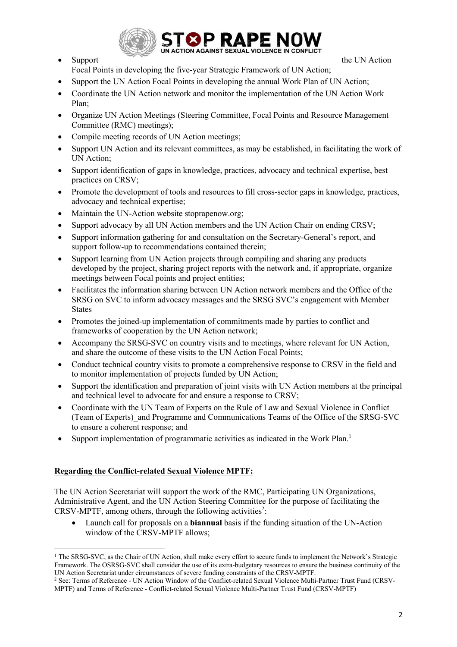

• Support the UN Action

Focal Points in developing the five-year Strategic Framework of UN Action;

- Support the UN Action Focal Points in developing the annual Work Plan of UN Action;
- Coordinate the UN Action network and monitor the implementation of the UN Action Work Plan;
- Organize UN Action Meetings (Steering Committee, Focal Points and Resource Management Committee (RMC) meetings);
- Compile meeting records of UN Action meetings;
- Support UN Action and its relevant committees, as may be established, in facilitating the work of UN Action;
- Support identification of gaps in knowledge, practices, advocacy and technical expertise, best practices on CRSV;
- Promote the development of tools and resources to fill cross-sector gaps in knowledge, practices, advocacy and technical expertise;
- Maintain the UN-Action website stoprapenow.org;
- Support advocacy by all UN Action members and the UN Action Chair on ending CRSV;
- Support information gathering for and consultation on the Secretary-General's report, and support follow-up to recommendations contained therein;
- Support learning from UN Action projects through compiling and sharing any products developed by the project, sharing project reports with the network and, if appropriate, organize meetings between Focal points and project entities;
- Facilitates the information sharing between UN Action network members and the Office of the SRSG on SVC to inform advocacy messages and the SRSG SVC's engagement with Member **States**
- Promotes the joined-up implementation of commitments made by parties to conflict and frameworks of cooperation by the UN Action network;
- Accompany the SRSG-SVC on country visits and to meetings, where relevant for UN Action, and share the outcome of these visits to the UN Action Focal Points;
- Conduct technical country visits to promote a comprehensive response to CRSV in the field and to monitor implementation of projects funded by UN Action;
- Support the identification and preparation of joint visits with UN Action members at the principal and technical level to advocate for and ensure a response to CRSV;
- Coordinate with the UN Team of Experts on the Rule of Law and Sexual Violence in Conflict (Team of Experts)\_and Programme and Communications Teams of the Office of the SRSG-SVC to ensure a coherent response; and
- Support implementation of programmatic activities as indicated in the Work Plan.<sup>1</sup>

#### **Regarding the Conflict-related Sexual Violence MPTF:**

The UN Action Secretariat will support the work of the RMC, Participating UN Organizations, Administrative Agent, and the UN Action Steering Committee for the purpose of facilitating the  $CRSV-MPTF$ , among others, through the following activities<sup>2</sup>:

• Launch call for proposals on a **biannual** basis if the funding situation of the UN-Action window of the CRSV-MPTF allows;

<sup>&</sup>lt;sup>1</sup> The SRSG-SVC, as the Chair of UN Action, shall make every effort to secure funds to implement the Network's Strategic Framework. The OSRSG-SVC shall consider the use of its extra-budgetary resources to ensure the business continuity of the UN Action Secretariat under circumstances of severe funding constraints of the CRSV-MPTF.

<sup>2</sup> See: Terms of Reference - UN Action Window of the Conflict-related Sexual Violence Multi-Partner Trust Fund (CRSV-MPTF) and Terms of Reference - Conflict-related Sexual Violence Multi-Partner Trust Fund (CRSV-MPTF)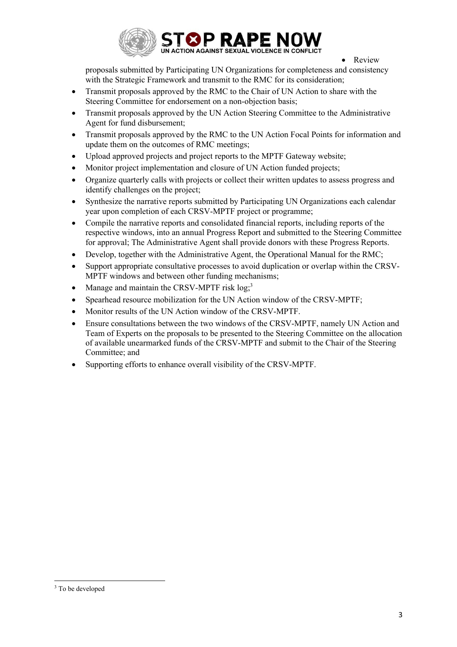

• Review

proposals submitted by Participating UN Organizations for completeness and consistency with the Strategic Framework and transmit to the RMC for its consideration;

- Transmit proposals approved by the RMC to the Chair of UN Action to share with the Steering Committee for endorsement on a non-objection basis;
- Transmit proposals approved by the UN Action Steering Committee to the Administrative Agent for fund disbursement;
- Transmit proposals approved by the RMC to the UN Action Focal Points for information and update them on the outcomes of RMC meetings;
- Upload approved projects and project reports to the MPTF Gateway website;
- Monitor project implementation and closure of UN Action funded projects;
- Organize quarterly calls with projects or collect their written updates to assess progress and identify challenges on the project;
- Synthesize the narrative reports submitted by Participating UN Organizations each calendar year upon completion of each CRSV-MPTF project or programme;
- Compile the narrative reports and consolidated financial reports, including reports of the respective windows, into an annual Progress Report and submitted to the Steering Committee for approval; The Administrative Agent shall provide donors with these Progress Reports.
- Develop, together with the Administrative Agent, the Operational Manual for the RMC;
- Support appropriate consultative processes to avoid duplication or overlap within the CRSV-MPTF windows and between other funding mechanisms;
- Manage and maintain the CRSV-MPTF risk  $log<sup>3</sup>$
- Spearhead resource mobilization for the UN Action window of the CRSV-MPTF;
- Monitor results of the UN Action window of the CRSV-MPTF.
- Ensure consultations between the two windows of the CRSV-MPTF, namely UN Action and Team of Experts on the proposals to be presented to the Steering Committee on the allocation of available unearmarked funds of the CRSV-MPTF and submit to the Chair of the Steering Committee; and
- Supporting efforts to enhance overall visibility of the CRSV-MPTF.

<sup>&</sup>lt;sup>3</sup> To be developed